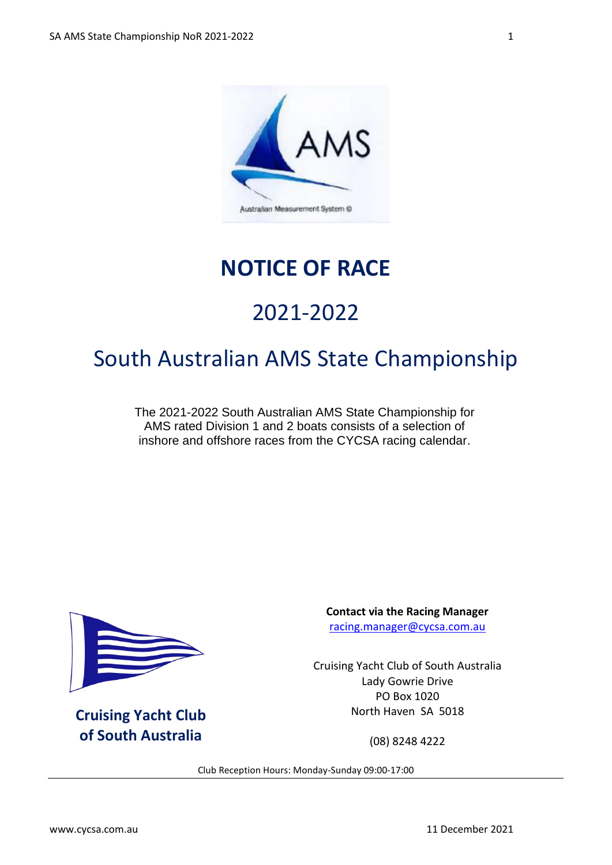

### **NOTICE OF RACE**

# 2021-2022

## South Australian AMS State Championship

The 2021-2022 South Australian AMS State Championship for AMS rated Division 1 and 2 boats consists of a selection of inshore and offshore races from the CYCSA racing calendar.



**Cruising Yacht Club of South Australia**

**Contact via the Racing Manager** [racing.manager@cycsa.com.au](mailto:racing.manager@cycsa.com.au)

Cruising Yacht Club of South Australia Lady Gowrie Drive PO Box 1020 North Haven SA 5018

(08) 8248 4222

Club Reception Hours: Monday-Sunday 09:00-17:00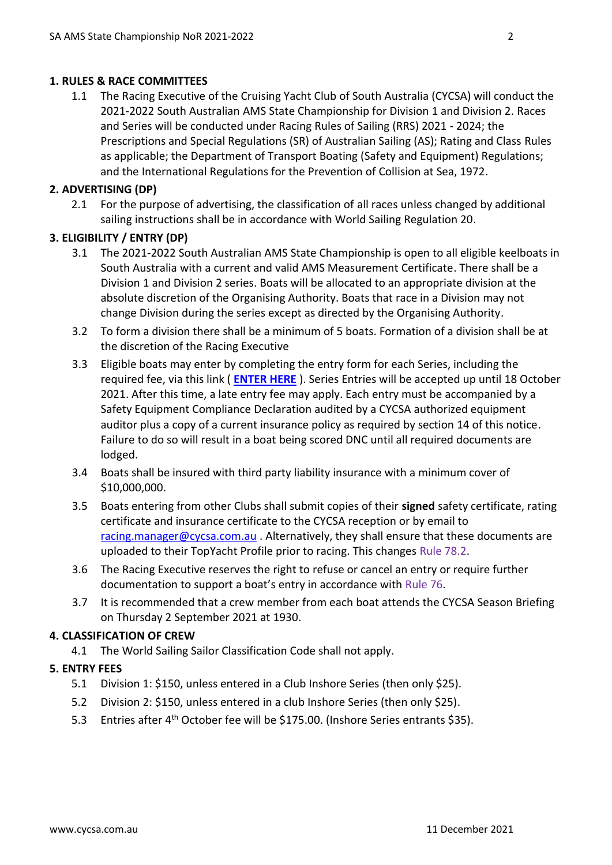#### **1. RULES & RACE COMMITTEES**

1.1 The Racing Executive of the Cruising Yacht Club of South Australia (CYCSA) will conduct the 2021-2022 South Australian AMS State Championship for Division 1 and Division 2. Races and Series will be conducted under Racing Rules of Sailing (RRS) 2021 - 2024; the Prescriptions and Special Regulations (SR) of Australian Sailing (AS); Rating and Class Rules as applicable; the Department of Transport Boating (Safety and Equipment) Regulations; and the International Regulations for the Prevention of Collision at Sea, 1972.

#### **2. ADVERTISING (DP)**

2.1 For the purpose of advertising, the classification of all races unless changed by additional sailing instructions shall be in accordance with World Sailing Regulation 20.

#### **3. ELIGIBILITY / ENTRY (DP)**

- 3.1 The 2021-2022 South Australian AMS State Championship is open to all eligible keelboats in South Australia with a current and valid AMS Measurement Certificate. There shall be a Division 1 and Division 2 series. Boats will be allocated to an appropriate division at the absolute discretion of the Organising Authority. Boats that race in a Division may not change Division during the series except as directed by the Organising Authority.
- 3.2 To form a division there shall be a minimum of 5 boats. Formation of a division shall be at the discretion of the Racing Executive
- 3.3 Eligible boats may enter by completing the entry form for each Series, including the required fee, via this link ( **[ENTER HERE](https://www.topyacht.com.au/db/kb/1133)** ). Series Entries will be accepted up until 18 October 2021. After this time, a late entry fee may apply. Each entry must be accompanied by a Safety Equipment Compliance Declaration audited by a CYCSA authorized equipment auditor plus a copy of a current insurance policy as required by section 14 of this notice. Failure to do so will result in a boat being scored DNC until all required documents are lodged.
- 3.4 Boats shall be insured with third party liability insurance with a minimum cover of \$10,000,000.
- 3.5 Boats entering from other Clubs shall submit copies of their **signed** safety certificate, rating certificate and insurance certificate to the CYCSA reception or by email to [racing.manager@cycsa.com.au](mailto:racing.manager@cycsa.com.au) . Alternatively, they shall ensure that these documents are uploaded to their TopYacht Profile prior to racing. This changes Rule 78.2.
- 3.6 The Racing Executive reserves the right to refuse or cancel an entry or require further documentation to support a boat's entry in accordance with Rule 76.
- 3.7 It is recommended that a crew member from each boat attends the CYCSA Season Briefing on Thursday 2 September 2021 at 1930.

#### **4. CLASSIFICATION OF CREW**

4.1 The World Sailing Sailor Classification Code shall not apply.

#### **5. ENTRY FEES**

- 5.1 Division 1: \$150, unless entered in a Club Inshore Series (then only \$25).
- 5.2 Division 2: \$150, unless entered in a club Inshore Series (then only \$25).
- 5.3 Entries after 4<sup>th</sup> October fee will be \$175.00. (Inshore Series entrants \$35).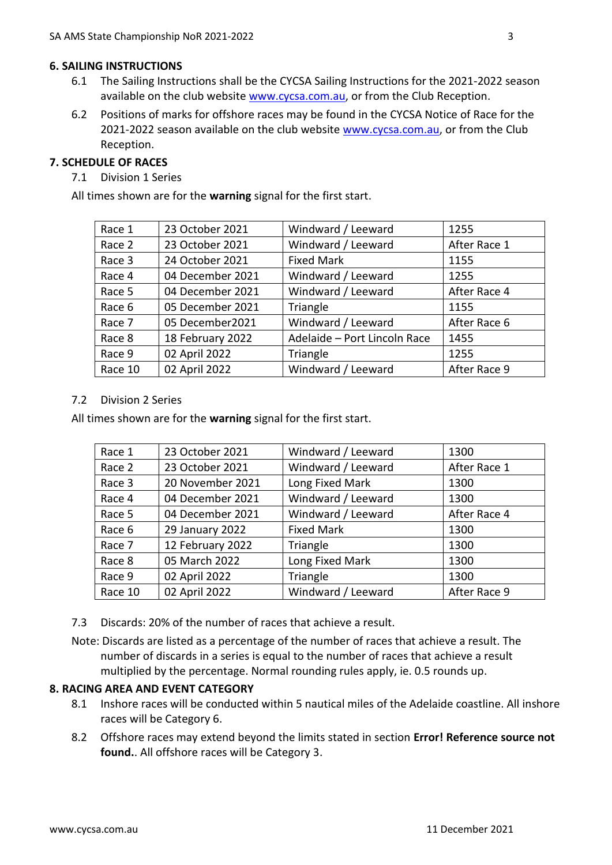#### **6. SAILING INSTRUCTIONS**

- 6.1 The Sailing Instructions shall be the CYCSA Sailing Instructions for the 2021-2022 season available on the club website [www.cycsa.com.au,](http://www.cycsa.com.au/) or from the Club Reception.
- 6.2 Positions of marks for offshore races may be found in the CYCSA Notice of Race for the 2021-2022 season available on the club website [www.cycsa.com.au,](http://www.cycsa.com.au/) or from the Club Reception.

#### **7. SCHEDULE OF RACES**

7.1 Division 1 Series

All times shown are for the **warning** signal for the first start.

| Race 1  | 23 October 2021  | Windward / Leeward           | 1255         |
|---------|------------------|------------------------------|--------------|
| Race 2  | 23 October 2021  | Windward / Leeward           | After Race 1 |
| Race 3  | 24 October 2021  | <b>Fixed Mark</b>            | 1155         |
| Race 4  | 04 December 2021 | Windward / Leeward           | 1255         |
| Race 5  | 04 December 2021 | Windward / Leeward           | After Race 4 |
| Race 6  | 05 December 2021 | Triangle                     | 1155         |
| Race 7  | 05 December2021  | Windward / Leeward           | After Race 6 |
| Race 8  | 18 February 2022 | Adelaide - Port Lincoln Race | 1455         |
| Race 9  | 02 April 2022    | Triangle                     | 1255         |
| Race 10 | 02 April 2022    | Windward / Leeward           | After Race 9 |

#### 7.2 Division 2 Series

All times shown are for the **warning** signal for the first start.

| Race 1  | 23 October 2021  | Windward / Leeward | 1300         |
|---------|------------------|--------------------|--------------|
| Race 2  | 23 October 2021  | Windward / Leeward | After Race 1 |
| Race 3  | 20 November 2021 | Long Fixed Mark    | 1300         |
| Race 4  | 04 December 2021 | Windward / Leeward | 1300         |
| Race 5  | 04 December 2021 | Windward / Leeward | After Race 4 |
| Race 6  | 29 January 2022  | <b>Fixed Mark</b>  | 1300         |
| Race 7  | 12 February 2022 | Triangle           | 1300         |
| Race 8  | 05 March 2022    | Long Fixed Mark    | 1300         |
| Race 9  | 02 April 2022    | Triangle           | 1300         |
| Race 10 | 02 April 2022    | Windward / Leeward | After Race 9 |

7.3 Discards: 20% of the number of races that achieve a result.

Note: Discards are listed as a percentage of the number of races that achieve a result. The number of discards in a series is equal to the number of races that achieve a result multiplied by the percentage. Normal rounding rules apply, ie. 0.5 rounds up.

#### **8. RACING AREA AND EVENT CATEGORY**

- 8.1 Inshore races will be conducted within 5 nautical miles of the Adelaide coastline. All inshore races will be Category 6.
- 8.2 Offshore races may extend beyond the limits stated in section **Error! Reference source not found.**. All offshore races will be Category 3.